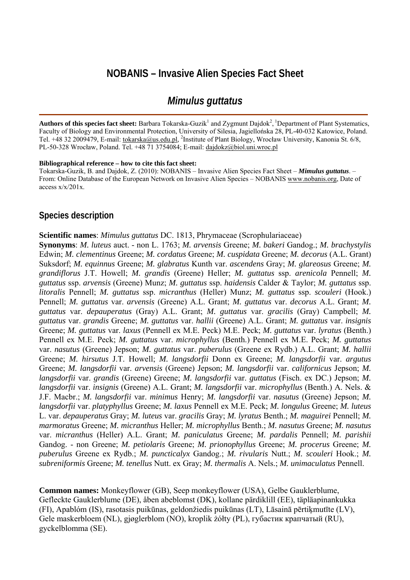# **NOBANIS – Invasive Alien Species Fact Sheet**

# *Mimulus guttatus*

Authors of this species fact sheet: Barbara Tokarska-Guzik<sup>1</sup> and Zygmunt Dajdok<sup>2</sup>, <sup>1</sup>Department of Plant Systematics, Faculty of Biology and Environmental Protection, University of Silesia, Jagiellońska 28, PL-40-032 Katowice, Poland. Tel. +48 32 2009479, E-mail: [tokarska@us.edu.pl,](mailto:tokarska@us.edu.pl) <sup>2</sup>Institute of Plant Biology, Wrocław University, Kanonia St. 6/8, PL-50-328 Wrocław, Poland. Tel. +48 71 3754084; E-mail: [dajdokz@biol.uni.wroc.pl](mailto:dajdokz@biol.uni.wroc.pl)

#### **Bibliographical reference – how to cite this fact sheet:**

Tokarska-Guzik, B. and Dajdok, Z. (2010): NOBANIS – Invasive Alien Species Fact Sheet – *Mimulus guttatus*. – From: Online Database of the European Network on Invasive Alien Species – NOBANIS [www.nobanis.org,](http://www.nobanis.org/) Date of access x/x/201x.

#### **Species description**

**Scientific names**: *Mimulus guttatus* DC. 1813, Phrymaceae (Scrophulariaceae)

**Synonyms**: *M. luteus* auct. - non L. 1763; *M. arvensis* Greene; *M. bakeri* Gandog.; *M. brachystylis* Edwin; *M. clementinus* Greene; *M. cordatus* Greene; *M. cuspidata* Greene; *M. decorus* (A.L. Grant) Suksdorf; *M. equinnus* Greene; *M. glabratus* Kunth var. *ascendens* Gray; *M. glareosus* Greene; *M. grandiflorus* J.T. Howell; *M. grandis* (Greene) Heller; *M. guttatus* ssp. *arenicola* Pennell; *M. guttatus* ssp. *arvensis* (Greene) Munz; *M. guttatus* ssp. *haidensis* Calder & Taylor; *M. guttatus* ssp. *litoralis* Pennell; *M. guttatus* ssp. *micranthus* (Heller) Munz; *M. guttatus* ssp. *scouleri* (Hook.) Pennell; *M. guttatus* var. *arvensis* (Greene) A.L. Grant; *M. guttatus* var. *decorus* A.L. Grant; *M. guttatus* var. *depauperatus* (Gray) A.L. Grant; *M. guttatus* var. *gracilis* (Gray) Campbell; *M. guttatus* var. *grandis* Greene; *M. guttatus* var. *hallii* (Greene) A.L. Grant; *M. guttatus* var. *insignis* Greene; *M. guttatus* var. *laxus* (Pennell ex M.E. Peck) M.E. Peck; *M. guttatus* var. *lyratus* (Benth.) Pennell ex M.E. Peck; *M. guttatus* var. *microphyllus* (Benth.) Pennell ex M.E. Peck; *M. guttatus* var. *nasutus* (Greene) Jepson; *M. guttatus* var. *puberulus* (Greene ex Rydb.) A.L. Grant; *M. hallii* Greene; *M. hirsutus* J.T. Howell; *M. langsdorfii* Donn ex Greene; *M. langsdorfii* var. *argutus* Greene; *M. langsdorfii* var. *arvensis* (Greene) Jepson; *M. langsdorfii* var. *californicus* Jepson; *M. langsdorfii* var. *grandis* (Greene) Greene; *M. langsdorfii* var. *guttatus* (Fisch. ex DC.) Jepson; *M. langsdorfii* var. *insignis* (Greene) A.L. Grant; *M. langsdorfii* var. *microphyllus* (Benth.) A. Nels. & J.F. Macbr.; *M. langsdorfii* var. *minimus* Henry; *M. langsdorfii* var. *nasutus* (Greene) Jepson; *M. langsdorfii* var. *platyphyllus* Greene; *M. laxus* Pennell ex M.E. Peck; *M. longulus* Greene; *M. luteus* L. var. *depauperatus* Gray; *M. luteus* var. *gracilis* Gray; *M. lyratus* Benth.; *M. maguirei* Pennell; *M. marmoratus* Greene; *M. micranthus* Heller; *M. microphyllus* Benth.; *M. nasutus* Greene; *M. nasutus* var. *micranthus* (Heller) A.L. Grant; *M. paniculatus* Greene; *M. pardalis* Pennell; *M. parishii* Gandog. - non Greene; *M. petiolaris* Greene; *M. prionophyllus* Greene; *M. procerus* Greene; *M. puberulus* Greene ex Rydb.; *M. puncticalyx* Gandog.; *M. rivularis* Nutt.; *M. scouleri* Hook.; *M. subreniformis* Greene; *M. tenellus* Nutt. ex Gray; *M. thermalis* A. Nels.; *M. unimaculatus* Pennell.

**Common names:** Monkeyflower (GB), Seep monkeyflower (USA), Gelbe Gauklerblume, Gefleckte Gauklerblume (DE), åben abeblomst (DK), kollane pärdiklill (EE), täpläapinankukka (FI), Apablóm (IS), rasotasis puikūnas, geldonžiedis puikūnas (LT), Lāsainā pērtiķmutīte (LV), Gele maskerbloem (NL), gjøglerblom (NO), kroplik żółty (PL), губастик крапчатый (RU), gyckelblomma (SE).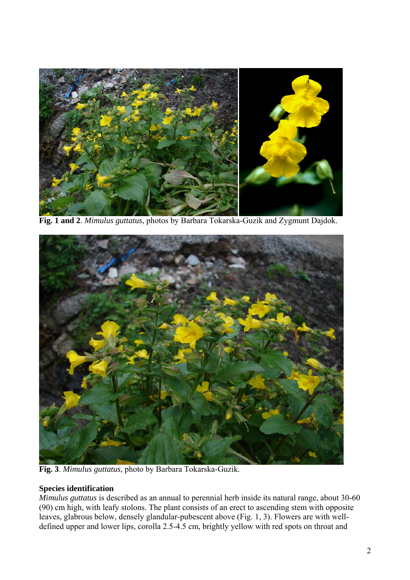

**Fig. 1 and 2**. *Mimulus guttatus*, photos by Barbara Tokarska-Guzik and Zygmunt Dajdok.



**Fig. 3**. *Mimulus guttatus*, photo by Barbara Tokarska-Guzik.

### **Species identification**

*Mimulus guttatus* is described as an annual to perennial herb inside its natural range, about 30-60 (90) cm high, with leafy stolons. The plant consists of an erect to ascending stem with opposite leaves, glabrous below, densely glandular-pubescent above (Fig. 1, 3). Flowers are with welldefined upper and lower lips, corolla 2.5-4.5 cm, brightly yellow with red spots on throat and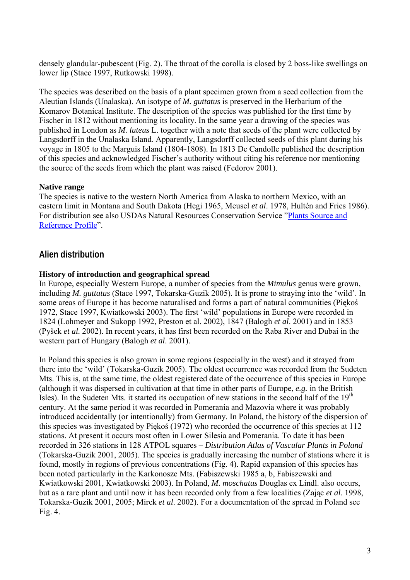densely glandular-pubescent (Fig. 2). The throat of the corolla is closed by 2 boss-like swellings on lower lip (Stace 1997, Rutkowski 1998).

The species was described on the basis of a plant specimen grown from a seed collection from the Aleutian Islands (Unalaska). An isotype of *M. guttatus* is preserved in the Herbarium of the Komarov Botanical Institute. The description of the species was published for the first time by Fischer in 1812 without mentioning its locality. In the same year a drawing of the species was published in London as *M. luteus* L. together with a note that seeds of the plant were collected by Langsdorff in the Unalaska Island. Apparently, Langsdorff collected seeds of this plant during his voyage in 1805 to the Marguis Island (1804-1808). In 1813 De Candolle published the description of this species and acknowledged Fischer's authority without citing his reference nor mentioning the source of the seeds from which the plant was raised (Fedorov 2001).

### **Native range**

The species is native to the western North America from Alaska to northern Mexico, with an eastern limit in Montana and South Dakota (Hegi 1965, Meusel *et al*. 1978, Hultén and Fries 1986). For distribution see also USDAs Natural Resources Conservation Service "[Plants Source and](http://plants.usda.gov/java/profile?symbol=MIGU) [Reference Profile](http://plants.usda.gov/java/profile?symbol=MIGU)".

## **Alien distribution**

### **History of introduction and geographical spread**

In Europe, especially Western Europe, a number of species from the *Mimulus* genus were grown, including *M. guttatus* (Stace 1997, Tokarska-Guzik 2005)*.* It is prone to straying into the 'wild'. In some areas of Europe it has become naturalised and forms a part of natural communities (Piękoś 1972, Stace 1997, Kwiatkowski 2003). The first 'wild' populations in Europe were recorded in 1824 (Lohmeyer and Sukopp 1992, Preston et al. 2002), 1847 (Balogh *et al*. 2001) and in 1853 (Pyšek *et al.* 2002). In recent years, it has first been recorded on the Raba River and Dubai in the western part of Hungary (Balogh *et al*. 2001).

In Poland this species is also grown in some regions (especially in the west) and it strayed from there into the 'wild' (Tokarska-Guzik 2005). The oldest occurrence was recorded from the Sudeten Mts. This is, at the same time, the oldest registered date of the occurrence of this species in Europe (although it was dispersed in cultivation at that time in other parts of Europe, *e.g.* in the British Isles). In the Sudeten Mts. it started its occupation of new stations in the second half of the  $19<sup>th</sup>$ century. At the same period it was recorded in Pomerania and Mazovia where it was probably introduced accidentally (or intentionally) from Germany. In Poland, the history of the dispersion of this species was investigated by Piękoś (1972) who recorded the occurrence of this species at 112 stations. At present it occurs most often in Lower Silesia and Pomerania. To date it has been recorded in 326 stations in 128 ATPOL squares – *Distribution Atlas of Vascular Plants in Poland* (Tokarska-Guzik 2001, 2005). The species is gradually increasing the number of stations where it is found, mostly in regions of previous concentrations (Fig. 4). Rapid expansion of this species has been noted particularly in the Karkonosze Mts. (Fabiszewski 1985 a, b, Fabiszewski and Kwiatkowski 2001, Kwiatkowski 2003). In Poland, *M. moschatus* Douglas ex Lindl. also occurs, but as a rare plant and until now it has been recorded only from a few localities (Zając *et al*. 1998, Tokarska-Guzik 2001, 2005; Mirek *et al*. 2002). For a documentation of the spread in Poland see Fig. 4.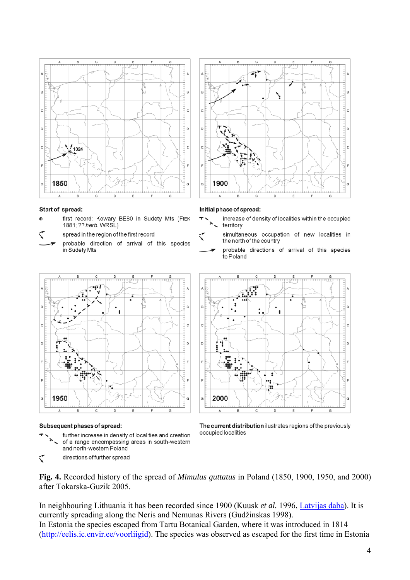

#### Start of spread:

- first record: Kowary BE80 in Sudety Mts (FIEK 1881; ?? herb. WRSL)
- spread in the region of the first record
- probable direction of arrival of this species in Sudety Mts



#### Subsequent phases of spread:

further increase in density of localities and creation of a range encompassing areas in south-western and north-western Poland  $\blacklozenge$ directions of further spread

╰  $\overline{c}$ b <sub>D</sub> 1900 G D

#### Initial phase of spread:

- increase of density of localities within the occupied territory
- simultaneous occupation of new localities in the north of the country
- probable directions of arrival of this species to Poland



The current distribution ilustrates regions of the previously occupied localities

**Fig. 4.** Recorded history of the spread of *Mimulus guttatus* in Poland (1850, 1900, 1950, and 2000) after Tokarska-Guzik 2005.

In neighbouring Lithuania it has been recorded since 1900 (Kuusk *et al.* 1996, [Latvijas daba](http://www.latvijasdaba.lv/info.asp?2)). It is currently spreading along the Neris and Nemunas Rivers (Gudžinskas 1998).

In Estonia the species escaped from Tartu Botanical Garden, where it was introduced in 1814 ([http://eelis.ic.envir.ee/voorliigid\)](http://eelis.ic.envir.ee/voorliigid). The species was observed as escaped for the first time in Estonia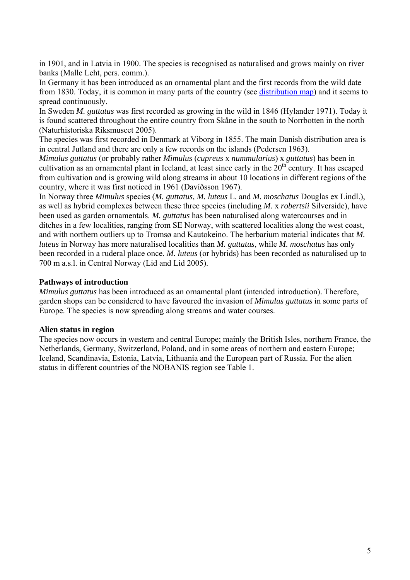in 1901, and in Latvia in 1900. The species is recognised as naturalised and grows mainly on river banks (Malle Leht, pers. comm.).

In Germany it has been introduced as an ornamental plant and the first records from the wild date from 1830. Today, it is common in many parts of the country (see [distribution map](http://www.floraweb.de/MAP/scripts/esrimap.dll?name=florkart&cmd=mapflor&app=distflor&ly=gw&taxnr=3707)) and it seems to spread continuously.

In Sweden *M. guttatus* was first recorded as growing in the wild in 1846 (Hylander 1971). Today it is found scattered throughout the entire country from Skåne in the south to Norrbotten in the north (Naturhistoriska Riksmuseet 2005).

The species was first recorded in Denmark at Viborg in 1855. The main Danish distribution area is in central Jutland and there are only a few records on the islands (Pedersen 1963).

*Mimulus guttatus* (or probably rather *Mimulus* (*cupreus* x *nummularius*) x *guttatus*) has been in cultivation as an ornamental plant in Iceland, at least since early in the  $20<sup>th</sup>$  century. It has escaped from cultivation and is growing wild along streams in about 10 locations in different regions of the country, where it was first noticed in 1961 (Davíðsson 1967).

In Norway three *Mimulus* species (*M. guttatus, M. luteus* L. and *M. moschatus* Douglas ex Lindl.), as well as hybrid complexes between these three species (including *M.* x *robertsii* Silverside), have been used as garden ornamentals. *M. guttatus* has been naturalised along watercourses and in ditches in a few localities, ranging from SE Norway, with scattered localities along the west coast, and with northern outliers up to Tromsø and Kautokeino. The herbarium material indicates that *M. luteus* in Norway has more naturalised localities than *M. guttatus*, while *M. moschatus* has only been recorded in a ruderal place once. *M. luteus* (or hybrids) has been recorded as naturalised up to 700 m a.s.l. in Central Norway (Lid and Lid 2005).

### **Pathways of introduction**

*Mimulus guttatus* has been introduced as an ornamental plant (intended introduction). Therefore, garden shops can be considered to have favoured the invasion of *Mimulus guttatus* in some parts of Europe. The species is now spreading along streams and water courses.

### **Alien status in region**

The species now occurs in western and central Europe; mainly the British Isles, northern France, the Netherlands, Germany, Switzerland, Poland, and in some areas of northern and eastern Europe; Iceland, Scandinavia, Estonia, Latvia, Lithuania and the European part of Russia. For the alien status in different countries of the NOBANIS region see Table 1.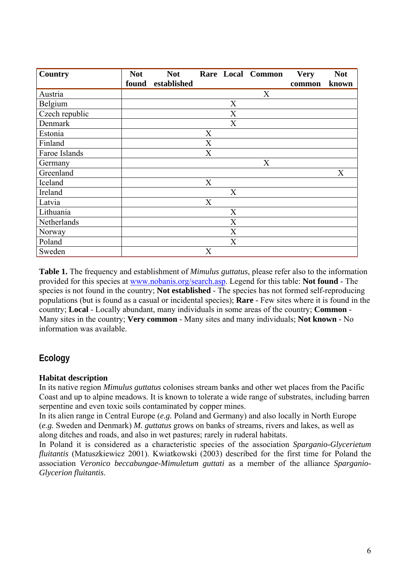| <b>Country</b> | <b>Not</b> | <b>Not</b>  |                           |   | Rare Local Common | <b>Very</b> | <b>Not</b> |
|----------------|------------|-------------|---------------------------|---|-------------------|-------------|------------|
|                | found      | established |                           |   |                   | common      | known      |
| Austria        |            |             |                           |   | X                 |             |            |
| Belgium        |            |             |                           | X |                   |             |            |
| Czech republic |            |             |                           | X |                   |             |            |
| Denmark        |            |             |                           | X |                   |             |            |
| Estonia        |            |             | X                         |   |                   |             |            |
| Finland        |            |             | X                         |   |                   |             |            |
| Faroe Islands  |            |             | X                         |   |                   |             |            |
| Germany        |            |             |                           |   | X                 |             |            |
| Greenland      |            |             |                           |   |                   |             | X          |
| Iceland        |            |             | X                         |   |                   |             |            |
| Ireland        |            |             |                           | X |                   |             |            |
| Latvia         |            |             | X                         |   |                   |             |            |
| Lithuania      |            |             |                           | X |                   |             |            |
| Netherlands    |            |             |                           | X |                   |             |            |
| Norway         |            |             |                           | X |                   |             |            |
| Poland         |            |             |                           | X |                   |             |            |
| Sweden         |            |             | $\boldsymbol{\mathrm{X}}$ |   |                   |             |            |

**Table 1.** The frequency and establishment of *Mimulus guttatus*, please refer also to the information provided for this species at [www.nobanis.org/search.asp](http://www.nobanis.org/Search.asp). Legend for this table: **Not found** - The species is not found in the country; **Not established** - The species has not formed self-reproducing populations (but is found as a casual or incidental species); **Rare** - Few sites where it is found in the country; **Local** - Locally abundant, many individuals in some areas of the country; **Common** - Many sites in the country; **Very common** - Many sites and many individuals; **Not known** - No information was available.

# **Ecology**

### **Habitat description**

In its native region *Mimulus guttatus* colonises stream banks and other wet places from the Pacific Coast and up to alpine meadows. It is known to tolerate a wide range of substrates, including barren serpentine and even toxic soils contaminated by copper mines.

In its alien range in Central Europe (*e.g.* Poland and Germany) and also locally in North Europe (*e.g.* Sweden and Denmark) *M. guttatus* grows on banks of streams, rivers and lakes, as well as along ditches and roads, and also in wet pastures; rarely in ruderal habitats.

In Poland it is considered as a characteristic species of the association *Sparganio-Glycerietum fluitantis* (Matuszkiewicz 2001). Kwiatkowski (2003) described for the first time for Poland the association *Veronico beccabungae-Mimuletum guttati* as a member of the alliance *Sparganio-Glycerion fluitantis*.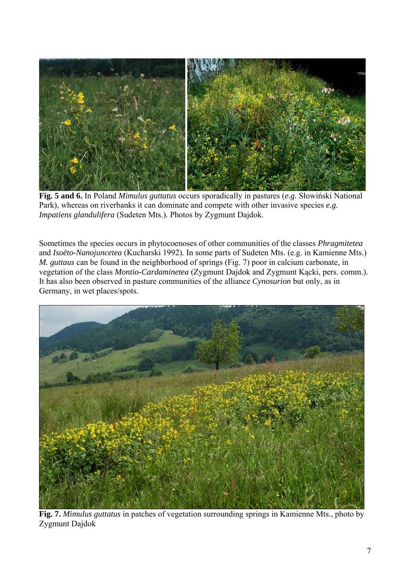

**Fig. 5 and 6.** In Poland *Mimulus guttatus* occurs sporadically in pastures (*e.g.* Słowiński National Park), whereas on riverbanks it can dominate and compete with other invasive species *e.g. Impatiens glandulifera* (Sudeten Mts.). Photos by Zygmunt Dajdok.

Sometimes the species occurs in phytocoenoses of other communities of the classes *Phragmitetea* and *Isoëto-Nanojuncetea* (Kucharski 1992). In some parts of Sudeten Mts. (e.g. in Kamienne Mts.) *M. guttaus* can be found in the neighborhood of springs (Fig. 7) poor in calcium carbonate, in vegetation of the class *Montio-Cardaminetea* (Zygmunt Dajdok and Zygmunt Kącki, pers. comm.). It has also been observed in pasture communities of the alliance *Cynosurion* but only, as in Germany, in wet places/spots.



**Fig. 7.** *Mimulus guttatus* in patches of vegetation surrounding springs in Kamienne Mts., photo by Zygmunt Dajdok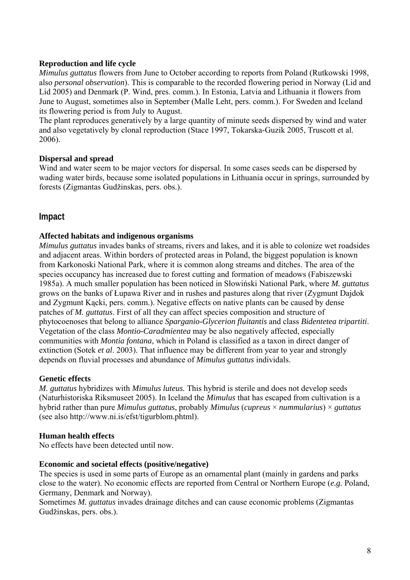### **Reproduction and life cycle**

*Mimulus guttatus* flowers from June to October according to reports from Poland (Rutkowski 1998, also *personal observation*). This is comparable to the recorded flowering period in Norway (Lid and Lid 2005) and Denmark (P. Wind, pres. comm.). In Estonia, Latvia and Lithuania it flowers from June to August, sometimes also in September (Malle Leht, pers. comm.). For Sweden and Iceland its flowering period is from July to August.

The plant reproduces generatively by a large quantity of minute seeds dispersed by wind and water and also vegetatively by clonal reproduction (Stace 1997, Tokarska-Guzik 2005, Truscott et al. 2006).

#### **Dispersal and spread**

Wind and water seem to be major vectors for dispersal. In some cases seeds can be dispersed by wading water birds, because some isolated populations in Lithuania occur in springs, surrounded by forests (Zigmantas Gudžinskas, pers. obs.).

## **Impact**

#### **Affected habitats and indigenous organisms**

*Mimulus guttatus* invades banks of streams, rivers and lakes, and it is able to colonize wet roadsides and adjacent areas. Within borders of protected areas in Poland, the biggest population is known from Karkonoski National Park, where it is common along streams and ditches. The area of the species occupancy has increased due to forest cutting and formation of meadows (Fabiszewski 1985a). A much smaller population has been noticed in Słowiński National Park, where *M. guttatus* grows on the banks of Łupawa River and in rushes and pastures along that river (Zygmunt Dajdok and Zygmunt Kącki, pers. comm.). Negative effects on native plants can be caused by dense patches of *M. guttatus*. First of all they can affect species composition and structure of phytocoenoses that belong to alliance *Sparganio-Glycerion fluitantis* and class *Bidentetea tripartiti*. Vegetation of the class *Montio-Caradmientea* may be also negatively affected, especially communities with *Montia fontana*, which in Poland is classified as a taxon in direct danger of extinction (Sotek *et al*. 2003). That influence may be different from year to year and strongly depends on fluvial processes and abundance of *Mimulus guttatus* individals.

#### **Genetic effects**

*M. guttatus* hybridizes with *Mimulus luteus.* This hybrid is sterile and does not develop seeds (Naturhistoriska Riksmuseet 2005). In Iceland the *Mimulus* that has escaped from cultivation is a hybrid rather than pure *Mimulus guttatus*, probably *Mimulus* (*cupreus* × *nummularius*) × *guttatus* (see also http://www.ni.is/efst/tigurblom.phtml).

#### **Human health effects**

No effects have been detected until now.

#### **Economic and societal effects (positive/negative)**

The species is used in some parts of Europe as an ornamental plant (mainly in gardens and parks close to the water). No economic effects are reported from Central or Northern Europe (*e.g.* Poland, Germany, Denmark and Norway).

Sometimes *M. guttatus* invades drainage ditches and can cause economic problems (Zigmantas Gudžinskas, pers. obs.).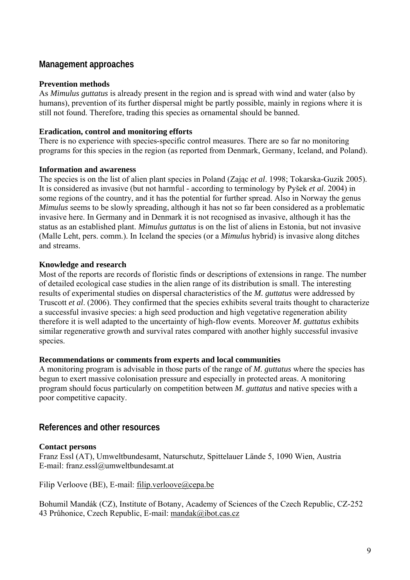## **Management approaches**

#### **Prevention methods**

As *Mimulus guttatus* is already present in the region and is spread with wind and water (also by humans), prevention of its further dispersal might be partly possible, mainly in regions where it is still not found. Therefore, trading this species as ornamental should be banned.

#### **Eradication, control and monitoring efforts**

There is no experience with species-specific control measures. There are so far no monitoring programs for this species in the region (as reported from Denmark, Germany, Iceland, and Poland).

#### **Information and awareness**

The species is on the list of alien plant species in Poland (Zając *et al*. 1998; Tokarska-Guzik 2005). It is considered as invasive (but not harmful - according to terminology by Pyšek *et al*. 2004) in some regions of the country, and it has the potential for further spread. Also in Norway the genus *Mimulus* seems to be slowly spreading, although it has not so far been considered as a problematic invasive here. In Germany and in Denmark it is not recognised as invasive, although it has the status as an established plant. *Mimulus guttatus* is on the list of aliens in Estonia, but not invasive (Malle Leht, pers. comm.). In Iceland the species (or a *Mimulus* hybrid) is invasive along ditches and streams.

#### **Knowledge and research**

Most of the reports are records of floristic finds or descriptions of extensions in range. The number of detailed ecological case studies in the alien range of its distribution is small. The interesting results of experimental studies on dispersal characteristics of the *M. guttatus* were addressed by Truscott *et al*. (2006). They confirmed that the species exhibits several traits thought to characterize a successful invasive species: a high seed production and high vegetative regeneration ability therefore it is well adapted to the uncertainty of high-flow events. Moreover *M. guttatus* exhibits similar regenerative growth and survival rates compared with another highly successful invasive species.

#### **Recommendations or comments from experts and local communities**

A monitoring program is advisable in those parts of the range of *M. guttatus* where the species has begun to exert massive colonisation pressure and especially in protected areas. A monitoring program should focus particularly on competition between *M. guttatus* and native species with a poor competitive capacity.

## **References and other resources**

### **Contact persons**

Franz Essl (AT), Umweltbundesamt, Naturschutz, Spittelauer Lände 5, 1090 Wien, Austria E-mail: franz.essl@umweltbundesamt.at

Filip Verloove (BE), E-mail: filip.verloove@cepa.be

Bohumil Mandák (CZ), Institute of Botany, Academy of Sciences of the Czech Republic, CZ-252 43 Průhonice, Czech Republic, E-mail: mandak@ibot.cas.cz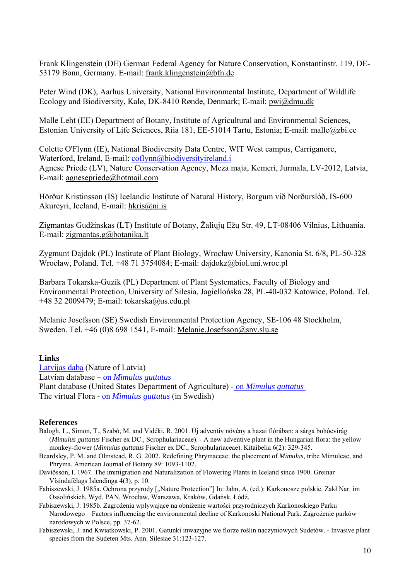Frank Klingenstein (DE) German Federal Agency for Nature Conservation, Konstantinstr. 119, DE-53179 Bonn, Germany. E-mail: [frank.klingenstein@bfn.de](mailto:frank.klingenstein@bfn.de) 

Peter Wind (DK), Aarhus University, National Environmental Institute, Department of Wildlife Ecology and Biodiversity, Kalø, DK-8410 Rønde, Denmark; E-mail: [pwi@dmu.dk](mailto:pwi@dmu.dk)

Malle Leht (EE) Department of Botany, Institute of Agricultural and Environmental Sciences, Estonian University of Life Sciences, Riia 181, EE-51014 Tartu, Estonia; E-mail: [malle@zbi.ee](mailto:malle@zbi.ee)

Colette O'Flynn (IE), National Biodiversity Data Centre, WIT West campus, Carriganore, Waterford, Ireland, E-mail: [coflynn@biodiversityireland.i](mailto:coflynn@biodiversityireland.i)

Agnese Priede (LV), Nature Conservation Agency, Meza maja, Kemeri, Jurmala, LV-2012, Latvia, E-mail: agnesepriede@hotmail.com

Hörður Kristinsson (IS) Icelandic Institute of Natural History, Borgum við Norðurslóð, IS-600 Akureyri, Iceland, E-mail: [hkris@ni.is](mailto:hkris@ni.is) 

Zigmantas Gudžinskas (LT) Institute of Botany, Žaliųjų Ežų Str. 49, LT-08406 Vilnius, Lithuania. E-mail: [zigmantas.g@botanika.lt](mailto:zigmantas.g@botanika.lt)

Zygmunt Dajdok (PL) Institute of Plant Biology, Wrocław University, Kanonia St. 6/8, PL-50-328 Wrocław, Poland. Tel. +48 71 3754084; E-mail: [dajdokz@biol.uni.wroc.pl](mailto:dajdokz@biol.uni.wroc.pl)

Barbara Tokarska-Guzik (PL) Department of Plant Systematics, Faculty of Biology and Environmental Protection, University of Silesia, Jagiellońska 28, PL-40-032 Katowice, Poland. Tel. +48 32 2009479; E-mail: [tokarska@us.edu.pl](mailto:tokarska@us.edu.pl)

Melanie Josefsson (SE) Swedish Environmental Protection Agency, SE-106 48 Stockholm, Sweden. Tel. +46 (0)8 698 1541, E-mail: [Melanie.Josefsson@snv.slu.se](mailto:Melanie.Josefsson@snv.slu.se) 

#### **Links**

[Latvijas daba](http://www.latvijasdaba.lv/info.asp?2) (Nature of Latvia) Latvian database – on *[Mimulus guttatus](http://www.latvijasdaba.lv/2/view_0_descr.asp?id=741)* Plant database (United States Department of Agriculture) - on *[Mimulus guttatus](http://plants.usda.gov/java/profile?symbol=MIGU)* The virtual Flora - on *[Mimulus guttatus](http://linnaeus.nrm.se/flora/di/scrophularia/mimul/mimugut.html)* (in Swedish)

#### **References**

- Balogh, L., Simon, T., Szabó, M. and Vidéki, R. 2001. Új adventív növény a hazai flórában: a sárga bohócvirág (*Mimulus guttatus* Fischer ex DC., Scrophulariaceae). - A new adventive plant in the Hungarian flora: the yellow monkey-flower (*Mimulus guttatus* Fischer ex DC., Scrophulariaceae). Kitaibelia 6(2): 329-345.
- Beardsley, P. M. and Olmstead, R. G. 2002. Redefining Phrymaceae: the placement of *Mimulus*, tribe Mimuleae, and Phryma. American Journal of Botany 89: 1093-1102.
- Davíðsson, I. 1967. The immigration and Naturalization of Flowering Plants in Iceland since 1900. Greinar Vísindafélags Íslendinga 4(3), p. 10.
- Fabiszewski, J. 1985a. Ochrona przyrody ["Nature Protection"] In: Jahn, A. (ed.): Karkonosze polskie. Zakł Nar. im Ossolińskich, Wyd. PAN, Wrocław, Warszawa, Kraków, Gdańsk, Łódź.
- Fabiszewski, J. 1985b. Zagrożenia wpływające na obniżenie wartości przyrodniczych Karkonoskiego Parku Narodowego – Factors influencing the environmental decline of Karkonoski National Park. Zagrożenie parków narodowych w Polsce, pp. 37-62.
- Fabiszewski, J. and Kwiatkowski, P. 2001. Gatunki inwazyjne we florze roślin naczyniowych Sudetów. Invasive plant species from the Sudeten Mts. Ann. Silesiae 31:123-127.